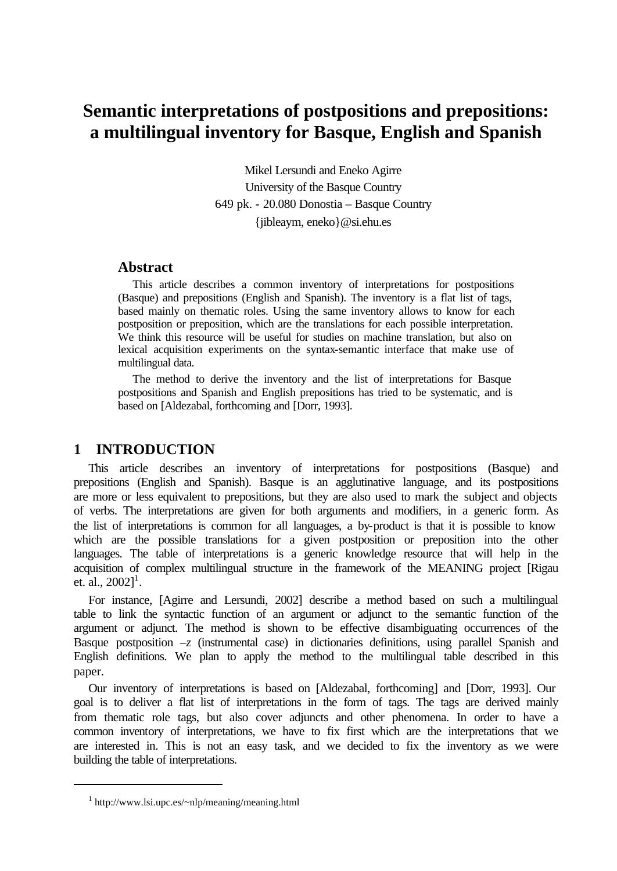# **Semantic interpretations of postpositions and prepositions: a multilingual inventory for Basque, English and Spanish**

Mikel Lersundi and Eneko Agirre University of the Basque Country 649 pk. - 20.080 Donostia – Basque Country {jibleaym, eneko}@si.ehu.es

### **Abstract**

This article describes a common inventory of interpretations for postpositions (Basque) and prepositions (English and Spanish). The inventory is a flat list of tags, based mainly on thematic roles. Using the same inventory allows to know for each postposition or preposition, which are the translations for each possible interpretation. We think this resource will be useful for studies on machine translation, but also on lexical acquisition experiments on the syntax-semantic interface that make use of multilingual data.

The method to derive the inventory and the list of interpretations for Basque postpositions and Spanish and English prepositions has tried to be systematic, and is based on [Aldezabal, forthcoming and [Dorr, 1993].

## **1 INTRODUCTION**

This article describes an inventory of interpretations for postpositions (Basque) and prepositions (English and Spanish). Basque is an agglutinative language, and its postpositions are more or less equivalent to prepositions, but they are also used to mark the subject and objects of verbs. The interpretations are given for both arguments and modifiers, in a generic form. As the list of interpretations is common for all languages, a by-product is that it is possible to know which are the possible translations for a given postposition or preposition into the other languages. The table of interpretations is a generic knowledge resource that will help in the acquisition of complex multilingual structure in the framework of the MEANING project [Rigau et. al.,  $2002$ ]<sup>1</sup>.

For instance, [Agirre and Lersundi, 2002] describe a method based on such a multilingual table to link the syntactic function of an argument or adjunct to the semantic function of the argument or adjunct. The method is shown to be effective disambiguating occurrences of the Basque postposition *–z* (instrumental case) in dictionaries definitions, using parallel Spanish and English definitions. We plan to apply the method to the multilingual table described in this paper.

Our inventory of interpretations is based on [Aldezabal, forthcoming] and [Dorr, 1993]. Our goal is to deliver a flat list of interpretations in the form of tags. The tags are derived mainly from thematic role tags, but also cover adjuncts and other phenomena. In order to have a common inventory of interpretations, we have to fix first which are the interpretations that we are interested in. This is not an easy task, and we decided to fix the inventory as we were building the table of interpretations.

<sup>1</sup> http://www.lsi.upc.es/~nlp/meaning/meaning.html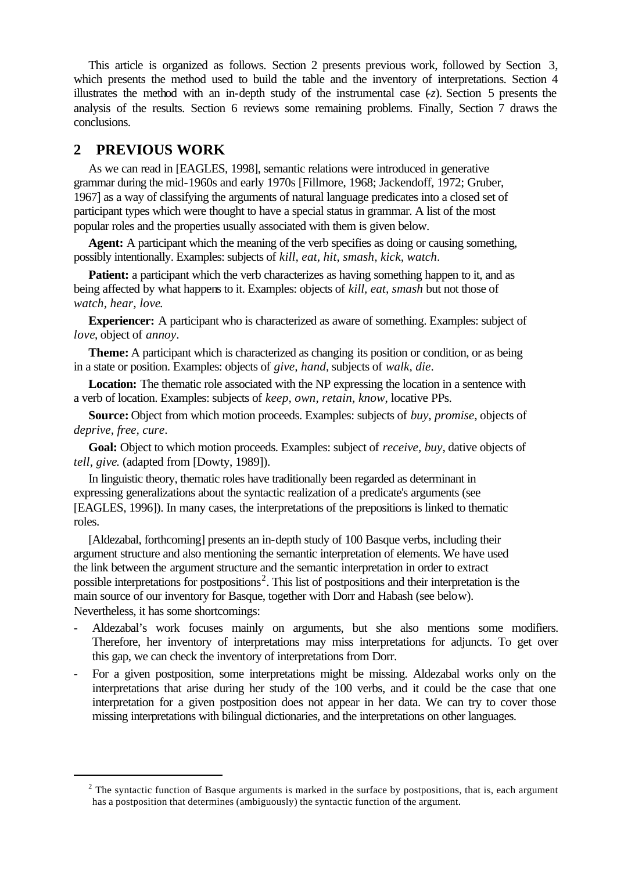This article is organized as follows. Section 2 presents previous work, followed by Section 3, which presents the method used to build the table and the inventory of interpretations. Section 4 illustrates the method with an in-depth study of the instrumental case (*-z*). Section 5 presents the analysis of the results. Section 6 reviews some remaining problems. Finally, Section 7 draws the conclusions.

# **2 PREVIOUS WORK**

l

As we can read in [EAGLES, 1998], semantic relations were introduced in generative grammar during the mid-1960s and early 1970s [Fillmore, 1968; Jackendoff, 1972; Gruber, 1967] as a way of classifying the arguments of natural language predicates into a closed set of participant types which were thought to have a special status in grammar. A list of the most popular roles and the properties usually associated with them is given below.

**Agent:** A participant which the meaning of the verb specifies as doing or causing something, possibly intentionally. Examples: subjects of *kill, eat, hit, smash, kick, watch*.

**Patient:** a participant which the verb characterizes as having something happen to it, and as being affected by what happens to it. Examples: objects of *kill, eat, smash* but not those of *watch, hear, love*.

**Experiencer:** A participant who is characterized as aware of something. Examples: subject of *love*, object of *annoy*.

**Theme:** A participant which is characterized as changing its position or condition, or as being in a state or position. Examples: objects of *give, hand*, subjects of *walk, die*.

**Location:** The thematic role associated with the NP expressing the location in a sentence with a verb of location. Examples: subjects of *keep, own, retain, know*, locative PPs.

**Source:** Object from which motion proceeds. Examples: subjects of *buy, promise*, objects of *deprive, free, cure*.

**Goal:** Object to which motion proceeds. Examples: subject of *receive, buy*, dative objects of *tell, give*. (adapted from [Dowty, 1989]).

In linguistic theory, thematic roles have traditionally been regarded as determinant in expressing generalizations about the syntactic realization of a predicate's arguments (see [EAGLES, 1996]). In many cases, the interpretations of the prepositions is linked to thematic roles.

[Aldezabal, forthcoming] presents an in-depth study of 100 Basque verbs, including their argument structure and also mentioning the semantic interpretation of elements. We have used the link between the argument structure and the semantic interpretation in order to extract possible interpretations for postpositions<sup>2</sup>. This list of postpositions and their interpretation is the main source of our inventory for Basque, together with Dorr and Habash (see below). Nevertheless, it has some shortcomings:

- Aldezabal's work focuses mainly on arguments, but she also mentions some modifiers. Therefore, her inventory of interpretations may miss interpretations for adjuncts. To get over this gap, we can check the inventory of interpretations from Dorr.
- For a given postposition, some interpretations might be missing. Aldezabal works only on the interpretations that arise during her study of the 100 verbs, and it could be the case that one interpretation for a given postposition does not appear in her data. We can try to cover those missing interpretations with bilingual dictionaries, and the interpretations on other languages.

 $2$  The syntactic function of Basque arguments is marked in the surface by postpositions, that is, each argument has a postposition that determines (ambiguously) the syntactic function of the argument.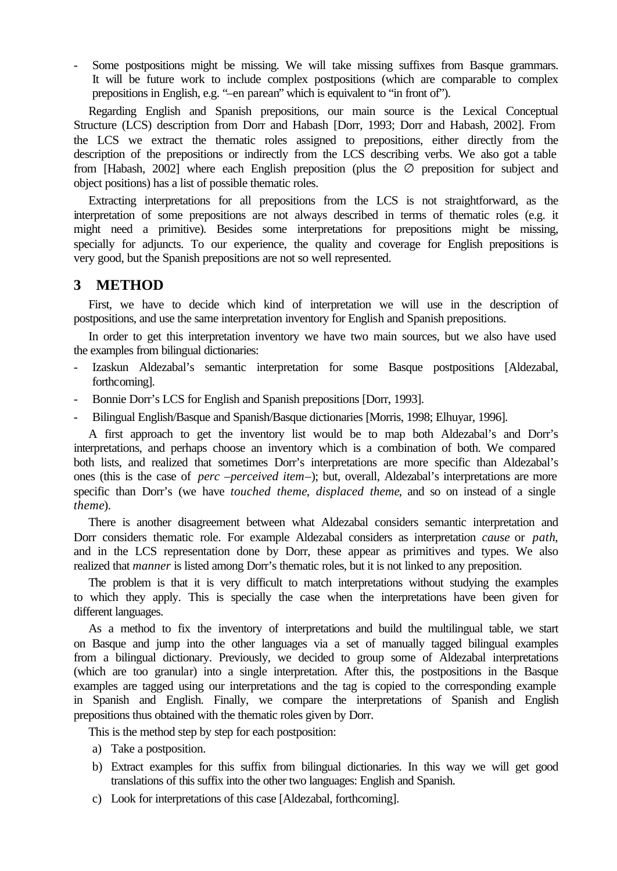Some postpositions might be missing. We will take missing suffixes from Basque grammars. It will be future work to include complex postpositions (which are comparable to complex prepositions in English, e.g. "*–*en parean" which is equivalent to "in front of").

Regarding English and Spanish prepositions, our main source is the Lexical Conceptual Structure (LCS) description from Dorr and Habash [Dorr, 1993; Dorr and Habash, 2002]. From the LCS we extract the thematic roles assigned to prepositions, either directly from the description of the prepositions or indirectly from the LCS describing verbs. We also got a table from [Habash, 2002] where each English preposition (plus the  $\varnothing$  preposition for subject and object positions) has a list of possible thematic roles.

Extracting interpretations for all prepositions from the LCS is not straightforward, as the interpretation of some prepositions are not always described in terms of thematic roles (e.g. it might need a primitive). Besides some interpretations for prepositions might be missing, specially for adjuncts. To our experience, the quality and coverage for English prepositions is very good, but the Spanish prepositions are not so well represented.

#### **3 METHOD**

First, we have to decide which kind of interpretation we will use in the description of postpositions, and use the same interpretation inventory for English and Spanish prepositions.

In order to get this interpretation inventory we have two main sources, but we also have used the examples from bilingual dictionaries:

- Izaskun Aldezabal's semantic interpretation for some Basque postpositions [Aldezabal, forthcoming].
- Bonnie Dorr's LCS for English and Spanish prepositions [Dorr, 1993].
- Bilingual English/Basque and Spanish/Basque dictionaries [Morris, 1998; Elhuyar, 1996].

A first approach to get the inventory list would be to map both Aldezabal's and Dorr's interpretations, and perhaps choose an inventory which is a combination of both. We compared both lists, and realized that sometimes Dorr's interpretations are more specific than Aldezabal's ones (this is the case of *perc* –*perceived item*–); but, overall, Aldezabal's interpretations are more specific than Dorr's (we have *touched theme*, *displaced theme*, and so on instead of a single *theme*).

There is another disagreement between what Aldezabal considers semantic interpretation and Dorr considers thematic role. For example Aldezabal considers as interpretation *cause* or *path*, and in the LCS representation done by Dorr, these appear as primitives and types. We also realized that *manner* is listed among Dorr's thematic roles, but it is not linked to any preposition.

The problem is that it is very difficult to match interpretations without studying the examples to which they apply. This is specially the case when the interpretations have been given for different languages.

As a method to fix the inventory of interpretations and build the multilingual table, we start on Basque and jump into the other languages via a set of manually tagged bilingual examples from a bilingual dictionary. Previously, we decided to group some of Aldezabal interpretations (which are too granular) into a single interpretation. After this, the postpositions in the Basque examples are tagged using our interpretations and the tag is copied to the corresponding example in Spanish and English. Finally, we compare the interpretations of Spanish and English prepositions thus obtained with the thematic roles given by Dorr.

This is the method step by step for each postposition:

- a) Take a postposition.
- b) Extract examples for this suffix from bilingual dictionaries. In this way we will get good translations of this suffix into the other two languages: English and Spanish.
- c) Look for interpretations of this case [Aldezabal, forthcoming].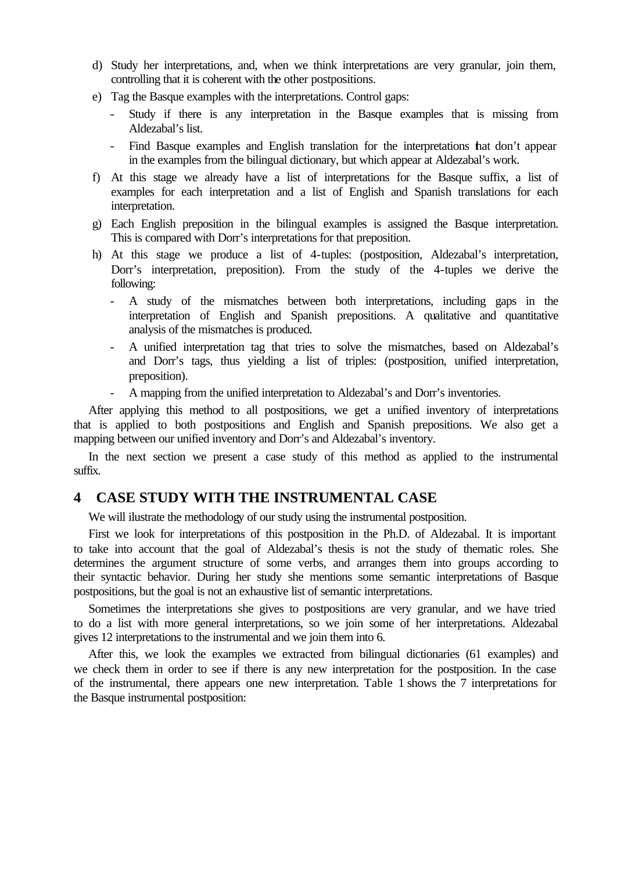- d) Study her interpretations, and, when we think interpretations are very granular, join them, controlling that it is coherent with the other postpositions.
- e) Tag the Basque examples with the interpretations. Control gaps:
	- Study if there is any interpretation in the Basque examples that is missing from Aldezabal's list.
	- Find Basque examples and English translation for the interpretations that don't appear in the examples from the bilingual dictionary, but which appear at Aldezabal's work.
- f) At this stage we already have a list of interpretations for the Basque suffix, a list of examples for each interpretation and a list of English and Spanish translations for each interpretation.
- g) Each English preposition in the bilingual examples is assigned the Basque interpretation. This is compared with Dorr's interpretations for that preposition.
- h) At this stage we produce a list of 4-tuples: (postposition, Aldezabal's interpretation, Dorr's interpretation, preposition). From the study of the 4-tuples we derive the following:
	- A study of the mismatches between both interpretations, including gaps in the interpretation of English and Spanish prepositions. A qualitative and quantitative analysis of the mismatches is produced.
	- A unified interpretation tag that tries to solve the mismatches, based on Aldezabal's and Dorr's tags, thus yielding a list of triples: (postposition, unified interpretation, preposition).
	- A mapping from the unified interpretation to Aldezabal's and Dorr's inventories.

After applying this method to all postpositions, we get a unified inventory of interpretations that is applied to both postpositions and English and Spanish prepositions. We also get a mapping between our unified inventory and Dorr's and Aldezabal's inventory.

In the next section we present a case study of this method as applied to the instrumental suffix.

### **4 CASE STUDY WITH THE INSTRUMENTAL CASE**

We will ilustrate the methodology of our study using the instrumental postposition.

First we look for interpretations of this postposition in the Ph.D. of Aldezabal. It is important to take into account that the goal of Aldezabal's thesis is not the study of thematic roles. She determines the argument structure of some verbs, and arranges them into groups according to their syntactic behavior. During her study she mentions some semantic interpretations of Basque postpositions, but the goal is not an exhaustive list of semantic interpretations.

Sometimes the interpretations she gives to postpositions are very granular, and we have tried to do a list with more general interpretations, so we join some of her interpretations. Aldezabal gives 12 interpretations to the instrumental and we join them into 6.

After this, we look the examples we extracted from bilingual dictionaries (61 examples) and we check them in order to see if there is any new interpretation for the postposition. In the case of the instrumental, there appears one new interpretation. Table 1 shows the 7 interpretations for the Basque instrumental postposition: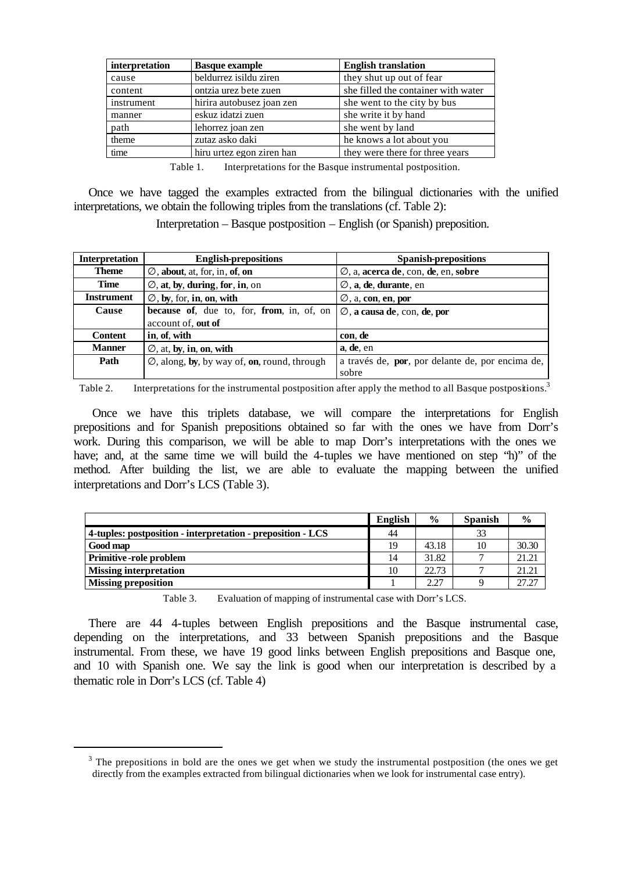| interpretation | <b>Basque example</b>     | <b>English translation</b>          |
|----------------|---------------------------|-------------------------------------|
| cause          | beldurrez isildu ziren    | they shut up out of fear            |
| content        | ontzia urez bete zuen     | she filled the container with water |
| instrument     | hirira autobusez joan zen | she went to the city by bus         |
| manner         | eskuz idatzi zuen         | she write it by hand                |
| path           | lehorrez joan zen         | she went by land                    |
| theme          | zutaz asko daki           | he knows a lot about you            |
| time           | hiru urtez egon ziren han | they were there for three years     |

Table 1. Interpretations for the Basque instrumental postposition.

Once we have tagged the examples extracted from the bilingual dictionaries with the unified interpretations, we obtain the following triples from the translations (cf. Table 2):

Interpretation – Basque postposition – English (or Spanish) preposition.

| <b>Interpretation</b> | <b>English-prepositions</b>                            | <b>Spanish-prepositions</b>                      |
|-----------------------|--------------------------------------------------------|--------------------------------------------------|
| <b>Theme</b>          | $\mathbf{A}$ , about, at, for, in, of, on              | $\emptyset$ , a, acerca de, con, de, en, sobre   |
| <b>Time</b>           | $\emptyset$ , at, by, during, for, in, on              | Æ, a, de, durante, en                            |
| <b>Instrument</b>     | $\mathbf{A}$ , by, for, in, on, with                   | $\mathbf{E}$ , a, con, en, por                   |
| Cause                 | because of, due to, for, from, in, of, on              | Æ, a causa de, con, de, por                      |
|                       | account of, out of                                     |                                                  |
| <b>Content</b>        | in, of, with                                           | con, de                                          |
| <b>Manner</b>         | $\emptyset$ , at, by, in, on, with                     | a, de, en                                        |
| Path                  | $\emptyset$ , along, by, by way of, on, round, through | a través de, por, por delante de, por encima de, |
|                       |                                                        | sobre                                            |

Table 2. Interpretations for the instrumental postposition after apply the method to all Basque postpositions.<sup>3</sup>

Once we have this triplets database, we will compare the interpretations for English prepositions and for Spanish prepositions obtained so far with the ones we have from Dorr's work. During this comparison, we will be able to map Dorr's interpretations with the ones we have; and, at the same time we will build the 4-tuples we have mentioned on step "h)" of the method. After building the list, we are able to evaluate the mapping between the unified interpretations and Dorr's LCS (Table 3).

|                                                             | <b>English</b> | $\frac{0}{0}$ | <b>Spanish</b> | $\frac{0}{0}$ |
|-------------------------------------------------------------|----------------|---------------|----------------|---------------|
| 4-tuples: postposition - interpretation - preposition - LCS | 44             |               | 33             |               |
| Good map                                                    | 19             | 43.18         | 10             | 30.30         |
| <b>Primitive-role problem</b>                               | 14             | 31.82         |                | 21.21         |
| <b>Missing interpretation</b>                               | 10             | 22.73         |                | 21.21         |
| <b>Missing preposition</b>                                  |                | 2.27          |                | 27.27         |

Table 3. Evaluation of mapping of instrumental case with Dorr's LCS.

There are 44 4-tuples between English prepositions and the Basque instrumental case, depending on the interpretations, and 33 between Spanish prepositions and the Basque instrumental. From these, we have 19 good links between English prepositions and Basque one, and 10 with Spanish one. We say the link is good when our interpretation is described by a thematic role in Dorr's LCS (cf. Table 4)

 $3$  The prepositions in bold are the ones we get when we study the instrumental postposition (the ones we get directly from the examples extracted from bilingual dictionaries when we look for instrumental case entry).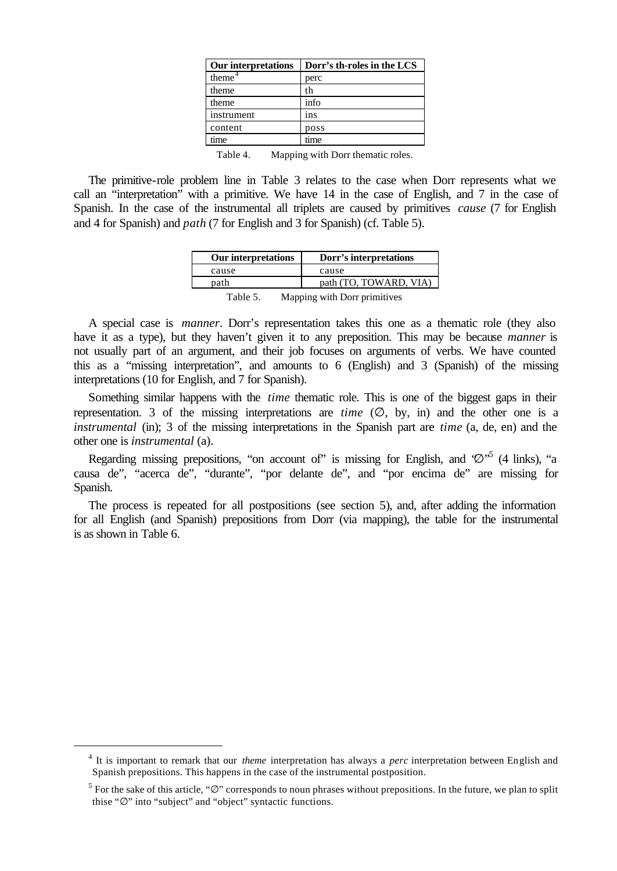| Dorr's th-roles in the LCS |
|----------------------------|
| perc                       |
| th                         |
| info                       |
| 1 <sub>ns</sub>            |
| poss                       |
| time                       |
|                            |

Table 4. Mapping with Dorr thematic roles.

The primitive-role problem line in Table 3 relates to the case when Dorr represents what we call an "interpretation" with a primitive. We have 14 in the case of English, and 7 in the case of Spanish. In the case of the instrumental all triplets are caused by primitives *cause* (7 for English and 4 for Spanish) and *path* (7 for English and 3 for Spanish) (cf. Table 5).

| <b>Our interpretations</b> | Dorr's interpretations       |
|----------------------------|------------------------------|
| cause                      | cause                        |
| path                       | path (TO, TOWARD, VIA)       |
| Table 5.                   | Mapping with Dorr primitives |

A special case is *manner*. Dorr's representation takes this one as a thematic role (they also have it as a type), but they haven't given it to any preposition. This may be because *manner* is not usually part of an argument, and their job focuses on arguments of verbs. We have counted this as a "missing interpretation", and amounts to 6 (English) and 3 (Spanish) of the missing interpretations (10 for English, and 7 for Spanish).

Something similar happens with the *time* thematic role. This is one of the biggest gaps in their representation. 3 of the missing interpretations are *time* (∅, by, in) and the other one is a *instrumental* (in); 3 of the missing interpretations in the Spanish part are *time* (a, de, en) and the other one is *instrumental* (a).

Regarding missing prepositions, "on account of" is missing for English, and  $\varnothing$ <sup>5</sup> (4 links), "a causa de", "acerca de", "durante", "por delante de", and "por encima de" are missing for Spanish.

The process is repeated for all postpositions (see section 5), and, after adding the information for all English (and Spanish) prepositions from Dorr (via mapping), the table for the instrumental is as shown in Table 6.

<sup>4</sup> It is important to remark that our *theme* interpretation has always a *perc* interpretation between English and Spanish prepositions. This happens in the case of the instrumental postposition.

<sup>&</sup>lt;sup>5</sup> For the sake of this article, " $\varnothing$ " corresponds to noun phrases without prepositions. In the future, we plan to split thise "∅" into "subject" and "object" syntactic functions.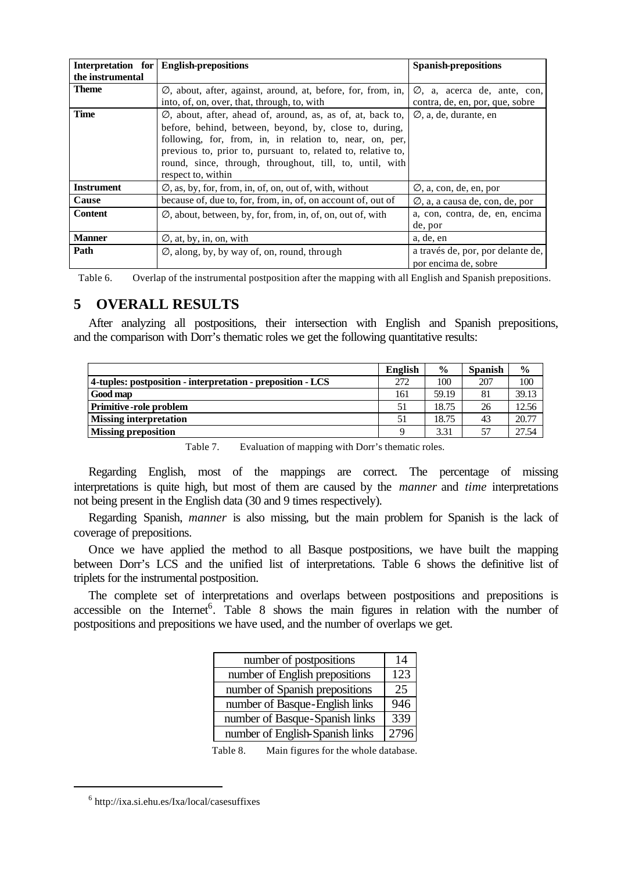|                  | Interpretation for English-prepositions                                                                                                                                                                                                                                                                                                       | <b>Spanish-prepositions</b>                                                 |
|------------------|-----------------------------------------------------------------------------------------------------------------------------------------------------------------------------------------------------------------------------------------------------------------------------------------------------------------------------------------------|-----------------------------------------------------------------------------|
| the instrumental |                                                                                                                                                                                                                                                                                                                                               |                                                                             |
| Theme            | $\varnothing$ , about, after, against, around, at, before, for, from, in,<br>into, of, on, over, that, through, to, with                                                                                                                                                                                                                      | $\varnothing$ , a, acerca de, ante, con,<br>contra, de, en, por, que, sobre |
| Time             | $\emptyset$ , about, after, ahead of, around, as, as of, at, back to,<br>before, behind, between, beyond, by, close to, during,<br>following, for, from, in, in relation to, near, on, per,<br>previous to, prior to, pursuant to, related to, relative to,<br>round, since, through, throughout, till, to, until, with<br>respect to, within | $\emptyset$ , a, de, durante, en                                            |
| Instrument       | $\varnothing$ , as, by, for, from, in, of, on, out of, with, without                                                                                                                                                                                                                                                                          | $\varnothing$ , a, con, de, en, por                                         |
| Cause            | because of, due to, for, from, in, of, on account of, out of                                                                                                                                                                                                                                                                                  | $\emptyset$ , a, a causa de, con, de, por                                   |
| <b>Content</b>   | $\emptyset$ , about, between, by, for, from, in, of, on, out of, with                                                                                                                                                                                                                                                                         | a, con, contra, de, en, encima<br>de, por                                   |
| <b>Manner</b>    | $\varnothing$ , at, by, in, on, with                                                                                                                                                                                                                                                                                                          | a, de, en                                                                   |
| Path             | $\varnothing$ , along, by, by way of, on, round, through                                                                                                                                                                                                                                                                                      | a través de, por, por delante de,<br>por encima de, sobre                   |

Table 6. Overlap of the instrumental postposition after the mapping with all English and Spanish prepositions.

# **5 OVERALL RESULTS**

After analyzing all postpositions, their intersection with English and Spanish prepositions, and the comparison with Dorr's thematic roles we get the following quantitative results:

|                                                             | English | $\frac{6}{9}$ | <b>Spanish</b> | $\frac{0}{0}$ |
|-------------------------------------------------------------|---------|---------------|----------------|---------------|
| 4-tuples: postposition - interpretation - preposition - LCS | 272     | 100           | 207            | 100           |
| Good map                                                    | 161     | 59.19         | 81             | 39.13         |
| <b>Primitive-role problem</b>                               | 51      | 18.75         | 26             | 12.56         |
| <b>Missing interpretation</b>                               | 51      | 18.75         | 43             | 20.77         |
| <b>Missing preposition</b>                                  |         | 3.31          | 57             | 27.54         |

Table 7. Evaluation of mapping with Dorr's thematic roles.

Regarding English, most of the mappings are correct. The percentage of missing interpretations is quite high, but most of them are caused by the *manner* and *time* interpretations not being present in the English data (30 and 9 times respectively).

Regarding Spanish, *manner* is also missing, but the main problem for Spanish is the lack of coverage of prepositions.

Once we have applied the method to all Basque postpositions, we have built the mapping between Dorr's LCS and the unified list of interpretations. Table 6 shows the definitive list of triplets for the instrumental postposition.

The complete set of interpretations and overlaps between postpositions and prepositions is accessible on the Internet<sup>6</sup>. Table 8 shows the main figures in relation with the number of postpositions and prepositions we have used, and the number of overlaps we get.

| number of postpositions         | 14   |
|---------------------------------|------|
| number of English prepositions  | 123  |
| number of Spanish prepositions  | 25   |
| number of Basque-English links  | 946  |
| number of Basque-Spanish links  | 339  |
| number of English-Spanish links | 2796 |

Table 8. Main figures for the whole database.

<sup>6</sup> http://ixa.si.ehu.es/Ixa/local/casesuffixes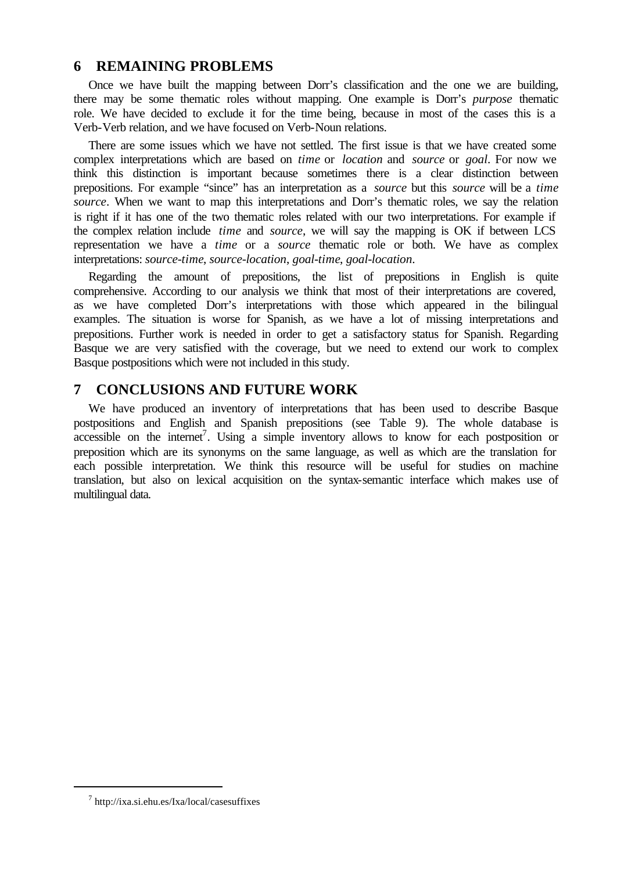## **6 REMAINING PROBLEMS**

Once we have built the mapping between Dorr's classification and the one we are building, there may be some thematic roles without mapping. One example is Dorr's *purpose* thematic role. We have decided to exclude it for the time being, because in most of the cases this is a Verb-Verb relation, and we have focused on Verb-Noun relations.

There are some issues which we have not settled. The first issue is that we have created some complex interpretations which are based on *time* or *location* and *source* or *goal*. For now we think this distinction is important because sometimes there is a clear distinction between prepositions. For example "since" has an interpretation as a *source* but this *source* will be a *time source*. When we want to map this interpretations and Dorr's thematic roles, we say the relation is right if it has one of the two thematic roles related with our two interpretations. For example if the complex relation include *time* and *source*, we will say the mapping is OK if between LCS representation we have a *time* or a *source* thematic role or both. We have as complex interpretations: *source-time*, *source-location*, *goal-time*, *goal-location*.

Regarding the amount of prepositions, the list of prepositions in English is quite comprehensive. According to our analysis we think that most of their interpretations are covered, as we have completed Dorr's interpretations with those which appeared in the bilingual examples. The situation is worse for Spanish, as we have a lot of missing interpretations and prepositions. Further work is needed in order to get a satisfactory status for Spanish. Regarding Basque we are very satisfied with the coverage, but we need to extend our work to complex Basque postpositions which were not included in this study.

# **7 CONCLUSIONS AND FUTURE WORK**

We have produced an inventory of interpretations that has been used to describe Basque postpositions and English and Spanish prepositions (see Table 9). The whole database is  $\arccosible$  on the internet<sup>7</sup>. Using a simple inventory allows to know for each postposition or preposition which are its synonyms on the same language, as well as which are the translation for each possible interpretation. We think this resource will be useful for studies on machine translation, but also on lexical acquisition on the syntax-semantic interface which makes use of multilingual data.

<sup>7</sup> http://ixa.si.ehu.es/Ixa/local/casesuffixes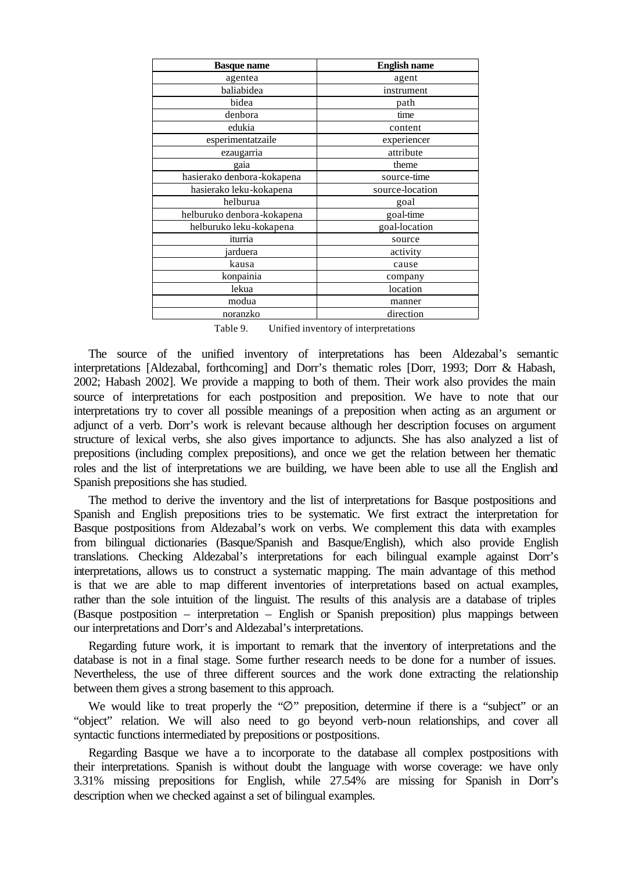| <b>Basque name</b>         | <b>English name</b> |  |
|----------------------------|---------------------|--|
| agentea                    | agent               |  |
| baliabidea                 | instrument          |  |
| bidea                      | path                |  |
| denbora                    | time                |  |
| edukia                     | content             |  |
| esperimentatzaile          | experiencer         |  |
| ezaugarria                 | attribute           |  |
| gaia                       | theme               |  |
| hasierako denbora-kokapena | source-time         |  |
| hasierako leku-kokapena    | source-location     |  |
| helburua                   | goal                |  |
| helburuko denbora-kokapena | goal-time           |  |
| helburuko leku-kokapena    | goal-location       |  |
| iturria                    | source              |  |
| jarduera                   | activity            |  |
| kausa                      | cause               |  |
| konpainia                  | company             |  |
| lekua                      | location            |  |
| modua                      | manner              |  |
| noranzko                   | direction           |  |

Table 9. Unified inventory of interpretations

The source of the unified inventory of interpretations has been Aldezabal's semantic interpretations [Aldezabal, forthcoming] and Dorr's thematic roles [Dorr, 1993; Dorr & Habash, 2002; Habash 2002]. We provide a mapping to both of them. Their work also provides the main source of interpretations for each postposition and preposition. We have to note that our interpretations try to cover all possible meanings of a preposition when acting as an argument or adjunct of a verb. Dorr's work is relevant because although her description focuses on argument structure of lexical verbs, she also gives importance to adjuncts. She has also analyzed a list of prepositions (including complex prepositions), and once we get the relation between her thematic roles and the list of interpretations we are building, we have been able to use all the English and Spanish prepositions she has studied.

The method to derive the inventory and the list of interpretations for Basque postpositions and Spanish and English prepositions tries to be systematic. We first extract the interpretation for Basque postpositions from Aldezabal's work on verbs. We complement this data with examples from bilingual dictionaries (Basque/Spanish and Basque/English), which also provide English translations. Checking Aldezabal's interpretations for each bilingual example against Dorr's interpretations, allows us to construct a systematic mapping. The main advantage of this method is that we are able to map different inventories of interpretations based on actual examples, rather than the sole intuition of the linguist. The results of this analysis are a database of triples (Basque postposition – interpretation – English or Spanish preposition) plus mappings between our interpretations and Dorr's and Aldezabal's interpretations.

Regarding future work, it is important to remark that the inventory of interpretations and the database is not in a final stage. Some further research needs to be done for a number of issues. Nevertheless, the use of three different sources and the work done extracting the relationship between them gives a strong basement to this approach.

We would like to treat properly the "∅" preposition, determine if there is a "subject" or an "object" relation. We will also need to go beyond verb-noun relationships, and cover all syntactic functions intermediated by prepositions or postpositions.

Regarding Basque we have a to incorporate to the database all complex postpositions with their interpretations. Spanish is without doubt the language with worse coverage: we have only 3.31% missing prepositions for English, while 27.54% are missing for Spanish in Dorr's description when we checked against a set of bilingual examples.